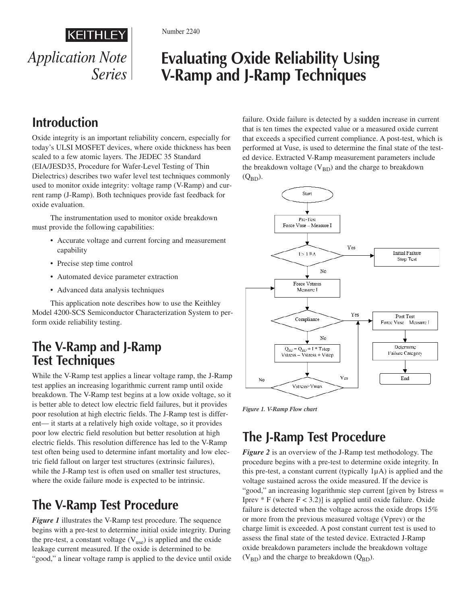

Number 2240

# **Evaluating Oxide Reliability Using V-Ramp and J-Ramp Techniques**

# **Introduction**

Oxide integrity is an important reliability concern, especially for today's ULSI MOSFET devices, where oxide thickness has been scaled to a few atomic layers. The JEDEC 35 Standard (EIA/JESD35, Procedure for Wafer-Level Testing of Thin Dielectrics) describes two wafer level test techniques commonly used to monitor oxide integrity: voltage ramp (V-Ramp) and current ramp (J-Ramp). Both techniques provide fast feedback for oxide evaluation.

The instrumentation used to monitor oxide breakdown must provide the following capabilities:

- Accurate voltage and current forcing and measurement capability
- Precise step time control
- Automated device parameter extraction
- Advanced data analysis techniques

This application note describes how to use the Keithley Model 4200-SCS Semiconductor Characterization System to perform oxide reliability testing.

### **The V-Ramp and J-Ramp Test Techniques**

While the V-Ramp test applies a linear voltage ramp, the J-Ramp test applies an increasing logarithmic current ramp until oxide breakdown. The V-Ramp test begins at a low oxide voltage, so it is better able to detect low electric field failures, but it provides poor resolution at high electric fields. The J-Ramp test is different— it starts at a relatively high oxide voltage, so it provides poor low electric field resolution but better resolution at high electric fields. This resolution difference has led to the V-Ramp test often being used to determine infant mortality and low electric field fallout on larger test structures (extrinsic failures), while the J-Ramp test is often used on smaller test structures, where the oxide failure mode is expected to be intrinsic.

# **The V-Ramp Test Procedure**

*Figure 1* illustrates the V-Ramp test procedure. The sequence begins with a pre-test to determine initial oxide integrity. During the pre-test, a constant voltage  $(V_{use})$  is applied and the oxide leakage current measured. If the oxide is determined to be "good," a linear voltage ramp is applied to the device until oxide failure. Oxide failure is detected by a sudden increase in current that is ten times the expected value or a measured oxide current that exceeds a specified current compliance. A post-test, which is performed at Vuse, is used to determine the final state of the tested device. Extracted V-Ramp measurement parameters include the breakdown voltage  $(V_{BD})$  and the charge to breakdown  $(Q_{BD})$ .



*Figure 1. V-Ramp Flow chart*

## **The J-Ramp Test Procedure**

*Figure 2* is an overview of the J-Ramp test methodology. The procedure begins with a pre-test to determine oxide integrity. In this pre-test, a constant current (typically  $1\mu$ A) is applied and the voltage sustained across the oxide measured. If the device is "good," an increasing logarithmic step current [given by Istress = Iprev  $*$  F (where  $F < 3.2$ )] is applied until oxide failure. Oxide failure is detected when the voltage across the oxide drops 15% or more from the previous measured voltage (Vprev) or the charge limit is exceeded. A post constant current test is used to assess the final state of the tested device. Extracted J-Ramp oxide breakdown parameters include the breakdown voltage  $(V_{BD})$  and the charge to breakdown  $(Q_{BD})$ .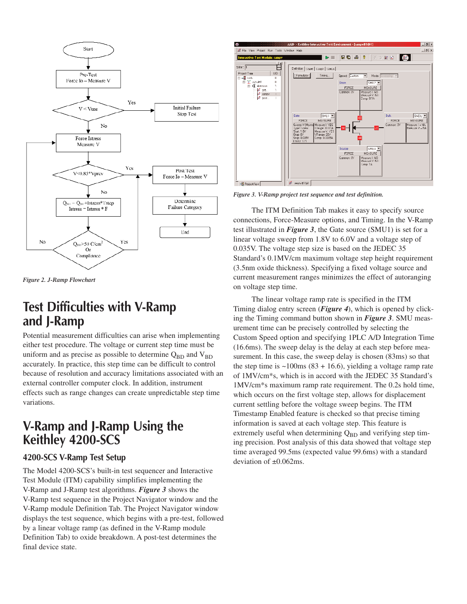

*Figure 2. J-Ramp Flowchart*

### **Test Difficulties with V-Ramp and J-Ramp**

Potential measurement difficulties can arise when implementing either test procedure. The voltage or current step time must be uniform and as precise as possible to determine  $Q_{BD}$  and  $V_{BD}$ accurately. In practice, this step time can be difficult to control because of resolution and accuracy limitations associated with an external controller computer clock. In addition, instrument effects such as range changes can create unpredictable step time variations.

### **V-Ramp and J-Ramp Using the Keithley 4200-SCS**

#### **4200-SCS V-Ramp Test Setup**

The Model 4200-SCS's built-in test sequencer and Interactive Test Module (ITM) capability simplifies implementing the V-Ramp and J-Ramp test algorithms. *Figure 3* shows the V-Ramp test sequence in the Project Navigator window and the V-Ramp module Definition Tab. The Project Navigator window displays the test sequence, which begins with a pre-test, followed by a linear voltage ramp (as defined in the V-Ramp module Definition Tab) to oxide breakdown. A post-test determines the final device state.



*Figure 3. V-Ramp project test sequence and test definition.*

The ITM Definition Tab makes it easy to specify source connections, Force-Measure options, and Timing. In the V-Ramp test illustrated in *Figure 3*, the Gate source (SMU1) is set for a linear voltage sweep from 1.8V to 6.0V and a voltage step of 0.035V. The voltage step size is based on the JEDEC 35 Standard's 0.1MV/cm maximum voltage step height requirement (3.5nm oxide thickness). Specifying a fixed voltage source and current measurement ranges minimizes the effect of autoranging on voltage step time.

The linear voltage ramp rate is specified in the ITM Timing dialog entry screen (*Figure 4*), which is opened by clicking the Timing command button shown in *Figure 3*. SMU measurement time can be precisely controlled by selecting the Custom Speed option and specifying 1PLC A/D Integration Time (16.6ms). The sweep delay is the delay at each step before measurement. In this case, the sweep delay is chosen (83ms) so that the step time is  $\sim$ 100ms (83 + 16.6), yielding a voltage ramp rate of 1MV/cm\*s, which is in accord with the JEDEC 35 Standard's 1MV/cm\*s maximum ramp rate requirement. The 0.2s hold time, which occurs on the first voltage step, allows for displacement current settling before the voltage sweep begins. The ITM Timestamp Enabled feature is checked so that precise timing information is saved at each voltage step. This feature is extremely useful when determining  $Q_{BD}$  and verifying step timing precision. Post analysis of this data showed that voltage step time averaged 99.5ms (expected value 99.6ms) with a standard deviation of ±0.062ms.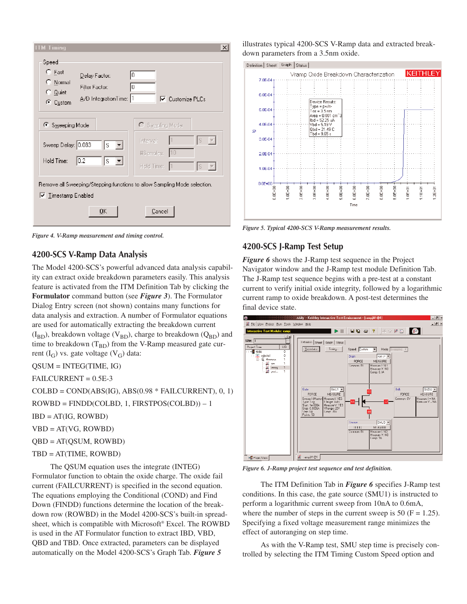

*Figure 4. V-Ramp measurement and timing control.*

#### **4200-SCS V-Ramp Data Analysis**

The Model 4200-SCS's powerful advanced data analysis capability can extract oxide breakdown parameters easily. This analysis feature is activated from the ITM Definition Tab by clicking the **Formulator** command button (see *Figure 3*). The Formulator Dialog Entry screen (not shown) contains many functions for data analysis and extraction. A number of Formulator equations are used for automatically extracting the breakdown current  $(I_{BD})$ , breakdown voltage (V<sub>BD</sub>), charge to breakdown (Q<sub>BD</sub>) and time to breakdown  $(T_{BD})$  from the V-Ramp measured gate current  $(I_G)$  vs. gate voltage  $(V_G)$  data:

QSUM = INTEG(TIME, IG)

FAILCURRENT = 0.5E-3

 $COLBD = COND(ABS(IG), ABS(0.98 * FAILCURRENT), 0, 1)$ 

ROWBD = FINDD(COLBD, 1, FIRSTPOS(COLBD)) – 1

 $IBD = AT(IG, ROWBD)$ 

 $VBD = AT(VG, ROWBD)$ 

QBD = AT(QSUM, ROWBD)

```
TBD = AT(TIME, ROWBD)
```
The QSUM equation uses the integrate (INTEG) Formulator function to obtain the oxide charge. The oxide fail current (FAILCURRENT) is specified in the second equation. The equations employing the Conditional (COND) and Find Down (FINDD) functions determine the location of the breakdown row (ROWBD) in the Model 4200-SCS's built-in spreadsheet, which is compatible with Microsoft® Excel. The ROWBD is used in the AT Formulator function to extract IBD, VBD, QBD and TBD. Once extracted, parameters can be displayed automatically on the Model 4200-SCS's Graph Tab. *Figure 5*

illustrates typical 4200-SCS V-Ramp data and extracted breakdown parameters from a 3.5nm oxide.



*Figure 5. Typical 4200-SCS V-Ramp measurement results.*

#### **4200-SCS J-Ramp Test Setup**

*Figure 6* shows the J-Ramp test sequence in the Project Navigator window and the J-Ramp test module Definition Tab. The J-Ramp test sequence begins with a pre-test at a constant current to verify initial oxide integrity, followed by a logarithmic current ramp to oxide breakdown. A post-test determines the final device state.



*Figure 6. J-Ramp project test sequence and test definition.*

The ITM Definition Tab in *Figure 6* specifies J-Ramp test conditions. In this case, the gate source (SMU1) is instructed to perform a logarithmic current sweep from 10nA to 0.6mA, where the number of steps in the current sweep is 50 ( $F = 1.25$ ). Specifying a fixed voltage measurement range minimizes the effect of autoranging on step time.

As with the V-Ramp test, SMU step time is precisely controlled by selecting the ITM Timing Custom Speed option and